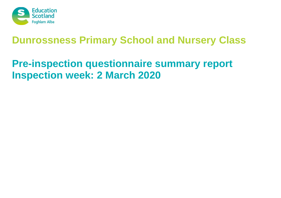

# **Pre-inspection questionnaire summary report Inspection week: 2 March 2020**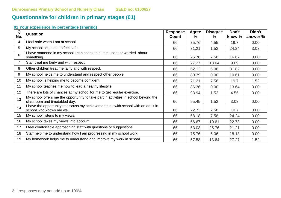# **Questionnaire for children in primary stages (01)**

| Q<br>No. | <b>Question</b>                                                                                                      | <b>Response</b><br><b>Count</b> | Agree<br>$\%$ | <b>Disagree</b><br>℅ | Don't<br>know % | Didn't<br>answer % |
|----------|----------------------------------------------------------------------------------------------------------------------|---------------------------------|---------------|----------------------|-----------------|--------------------|
| 4        | I feel safe when I am at school.                                                                                     | 66                              | 75.76         | 4.55                 | 19.7            | 0.00               |
| 5        | My school helps me to feel safe.                                                                                     | 66                              | 71.21         | 1.52                 | 24.24           | 3.03               |
| 6        | I have someone in my school I can speak to if I am upset or worried about<br>something.                              | 66                              | 75.76         | 7.58                 | 16.67           | 0.00               |
|          | Staff treat me fairly and with respect.                                                                              | 66                              | 77.27         | 13.64                | 9.09            | 0.00               |
| 8        | Other children treat me fairly and with respect.                                                                     | 66                              | 62.12         | 6.06                 | 31.82           | 0.00               |
| 9        | My school helps me to understand and respect other people.                                                           | 66                              | 89.39         | 0.00                 | 10.61           | 0.00               |
| 10       | My school is helping me to become confident.                                                                         | 66                              | 71.21         | 7.58                 | 19.7            | 1.52               |
| 11       | My school teaches me how to lead a healthy lifestyle.                                                                | 66                              | 86.36         | 0.00                 | 13.64           | 0.00               |
| 12       | There are lots of chances at my school for me to get regular exercise.                                               | 66                              | 93.94         | 1.52                 | 4.55            | 0.00               |
| 13       | My school offers me the opportunity to take part in activities in school beyond the<br>classroom and timetabled day. | 66                              | 95.45         | 1.52                 | 3.03            | 0.00               |
| 14       | I have the opportunity to discuss my achievements outwith school with an adult in<br>school who knows me well.       | 66                              | 72.73         | 7.58                 | 19.7            | 0.00               |
| 15       | My school listens to my views.                                                                                       | 66                              | 68.18         | 7.58                 | 24.24           | 0.00               |
| 16       | My school takes my views into account.                                                                               | 66                              | 66.67         | 10.61                | 22.73           | 0.00               |
| 17       | I feel comfortable approaching staff with questions or suggestions.                                                  | 66                              | 53.03         | 25.76                | 21.21           | 0.00               |
| 18       | Staff help me to understand how I am progressing in my school work.                                                  | 66                              | 75.76         | 6.06                 | 18.18           | 0.00               |
| 19       | My homework helps me to understand and improve my work in school.                                                    | 66                              | 57.58         | 13.64                | 27.27           | 1.52               |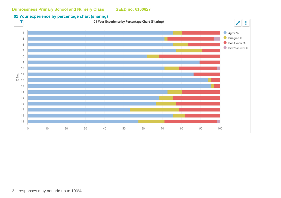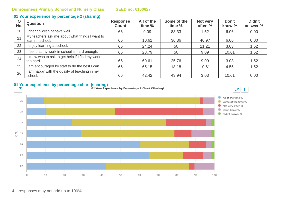| Q<br>No. | <b>Question</b>                                                    | <b>Response</b><br><b>Count</b> | All of the<br>time % | Some of the<br>time % | Not very<br>often % | Don't<br>know % | Didn't<br>answer % |
|----------|--------------------------------------------------------------------|---------------------------------|----------------------|-----------------------|---------------------|-----------------|--------------------|
| 20       | Other children behave well.                                        | 66                              | 9.09                 | 83.33                 | 1.52                | 6.06            | 0.00               |
| 21       | My teachers ask me about what things I want to<br>learn in school. | 66                              | 10.61                | 36.36                 | 46.97               | 6.06            | 0.00               |
| 22       | enjoy learning at school.                                          | 66                              | 24.24                | 50                    | 21.21               | 3.03            | 1.52               |
| 23       | I feel that my work in school is hard enough.                      | 66                              | 28.79                | 50                    | 9.09                | 10.61           | 1.52               |
| 24       | I know who to ask to get help if I find my work<br>too hard.       | 66                              | 60.61                | 25.76                 | 9.09                | 3.03            | 1.52               |
| 25       | I am encouraged by staff to do the best I can.                     | 66                              | 65.15                | 18.18                 | 10.61               | 4.55            | 1.52               |
| 26       | I am happy with the quality of teaching in my<br>school.           | 66                              | 42.42                | 43.94                 | 3.03                | 10.61           | 0.00               |

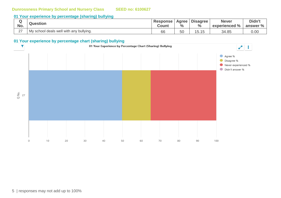## **01 Your experience by percentage (sharing) bullying**

| No.                | <b>Question</b>                         | <b>Response</b><br>Count | Agree  <br>$\frac{0}{0}$ | <b>Disagree</b><br>$\frac{0}{0}$ | <b>Never</b><br>experienced % | Didn't<br>answer % |
|--------------------|-----------------------------------------|--------------------------|--------------------------|----------------------------------|-------------------------------|--------------------|
| $\sim$<br><u>_</u> | My school deals well with any bullying. | 66                       | 50                       | I J. I J                         | 34.85                         | 0.00               |

#### **01 Your experience by percentage chart (sharing) bullying**

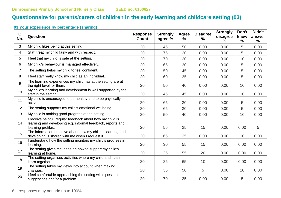# **Questionnaire for parents/carers of children in the early learning and childcare setting (03)**

| Q<br>No.       | Question                                                                                                                                     | <b>Response</b><br><b>Count</b> | <b>Strongly</b><br>agree % | <b>Agree</b><br>% | <b>Disagree</b><br>% | <b>Strongly</b><br>disagree<br>$\%$ | Don't<br>know<br>$\frac{0}{0}$ | Didn't<br>answer<br>$\%$ |
|----------------|----------------------------------------------------------------------------------------------------------------------------------------------|---------------------------------|----------------------------|-------------------|----------------------|-------------------------------------|--------------------------------|--------------------------|
| 3              | My child likes being at this setting.                                                                                                        | 20                              | 45                         | 50                | 0.00                 | 0.00                                | 5                              | 0.00                     |
| 4              | Staff treat my child fairly and with respect.                                                                                                | 20                              | 75                         | 20                | 0.00                 | 0.00                                | 5                              | 0.00                     |
| 5              | I feel that my child is safe at the setting.                                                                                                 | 20                              | 70                         | 20                | 0.00                 | 0.00                                | 10                             | 0.00                     |
| 6              | My child's behaviour is managed effectively.                                                                                                 | 20                              | 65                         | 30                | 0.00                 | 0.00                                | 5                              | 0.00                     |
| $\overline{7}$ | The setting helps my child to feel confident.                                                                                                | 20                              | 50                         | 45                | 0.00                 | 0.00                                | 5                              | 0.00                     |
| 8              | I feel staff really know my child as an individual.                                                                                          | 20                              | 60                         | 35                | 0.00                 | 0.00                                | 5                              | 0.00                     |
| 9              | The learning experiences my child has at the setting are at<br>the right level for them.                                                     | 20                              | 50                         | 40                | 0.00                 | 0.00                                | 10                             | 0.00                     |
| 10             | My child's learning and development is well supported by the<br>staff in the setting.                                                        | 20                              | 45                         | 45                | 0.00                 | 0.00                                | 10                             | 0.00                     |
| 11             | My child is encouraged to be healthy and to be physically<br>active.                                                                         | 20                              | 65                         | 30                | 0.00                 | 0.00                                | 5                              | 0.00                     |
| 12             | The setting supports my child's emotional wellbeing.                                                                                         | 20                              | 65                         | 30                | 0.00                 | 0.00                                | 5                              | 0.00                     |
| 13             | My child is making good progress at the setting.                                                                                             | 20                              | 50                         | 40                | 0.00                 | 0.00                                | 10                             | 0.00                     |
| 14             | receive helpful, regular feedback about how my child is<br>learning and developing e.g. informal feedback, reports and<br>learning profiles. | 20                              | 55                         | 25                | 15                   | 0.00                                | 0.00                           | 5                        |
| 15             | The information I receive about how my child is learning and<br>developing is shared with me when I request it.                              | 20                              | 65                         | 25                | 0.00                 | 0.00                                | 10                             | 0.00                     |
| 16             | understand how the setting monitors my child's progress in<br>learning.                                                                      | 20                              | 30                         | 55                | 15                   | 0.00                                | 0.00                           | 0.00                     |
| 17             | The setting gives me ideas on how to support my child's<br>learning at home.                                                                 | 20                              | 25                         | 55                | 20                   | 0.00                                | 0.00                           | 0.00                     |
| 18             | The setting organises activities where my child and I can<br>learn together.                                                                 | 20                              | 25                         | 65                | 10                   | 0.00                                | 0.00                           | 0.00                     |
| 19             | The setting takes my views into account when making<br>changes.                                                                              | 20                              | 35                         | 50                | 5                    | 0.00                                | 10                             | 0.00                     |
| 20             | I feel comfortable approaching the setting with questions,<br>suggestions and/or a problem.                                                  | 20                              | 70                         | 25                | 0.00                 | 0.00                                | 5                              | 0.00                     |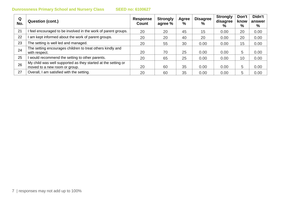| Q<br>No. | Question (cont.)                                                                               | Response<br>Count | <b>Strongly</b><br>agree % | Agree<br>$\frac{0}{0}$ | <b>Disagree</b><br>$\%$ | <b>Strongly</b><br>disagree<br>% | Don't<br>know<br>% | Didn't<br>answer<br>% |
|----------|------------------------------------------------------------------------------------------------|-------------------|----------------------------|------------------------|-------------------------|----------------------------------|--------------------|-----------------------|
| 21       | I feel encouraged to be involved in the work of parent groups.                                 | 20                | 20                         | 45                     | 15                      | 0.00                             | 20                 | 0.00                  |
| 22       | I am kept informed about the work of parent groups.                                            | 20                | 20                         | 40                     | 20                      | 0.00                             | 20                 | 0.00                  |
| 23       | The setting is well led and managed.                                                           | 20                | 55                         | 30                     | 0.00                    | 0.00                             | 15                 | 0.00                  |
| 24       | The setting encourages children to treat others kindly and<br>with respect.                    | 20                | 70                         | 25                     | 0.00                    | 0.00                             | 5                  | 0.00                  |
| 25       | I would recommend the setting to other parents.                                                | 20                | 65                         | 25                     | 0.00                    | 0.00                             | 10                 | 0.00                  |
| 26       | My child was well supported as they started at the setting or<br>moved to a new room or group. | 20                | 60                         | 35                     | 0.00                    | 0.00                             | 5                  | 0.00                  |
| 27       | Overall, I am satisfied with the setting.                                                      | 20                | 60                         | 35                     | 0.00                    | 0.00                             | 5                  | 0.00                  |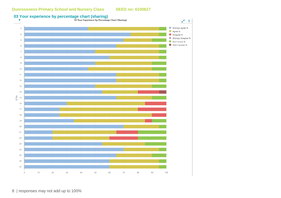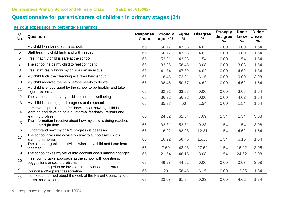# **Questionnaire for parents/carers of children in primary stages (04)**

| Q<br>No.       | Question                                                                                                                                       | <b>Response</b><br><b>Count</b> | <b>Strongly</b><br>agree % | <b>Agree</b><br>% | <b>Disagree</b><br>$\frac{9}{6}$ | <b>Strongly</b><br>disagree<br>% | Don't<br>know<br>$\%$ | Didn't<br>answer<br>% |
|----------------|------------------------------------------------------------------------------------------------------------------------------------------------|---------------------------------|----------------------------|-------------------|----------------------------------|----------------------------------|-----------------------|-----------------------|
| 4              | My child likes being at this school.                                                                                                           | 65                              | 50.77                      | 43.08             | 4.62                             | 0.00                             | 0.00                  | 1.54                  |
| 5              | Staff treat my child fairly and with respect.                                                                                                  | 65                              | 50.77                      | 43.08             | 4.62                             | 0.00                             | 0.00                  | 1.54                  |
| 6              | I feel that my child is safe at the school.                                                                                                    | 65                              | 52.31                      | 43.08             | 1.54                             | 0.00                             | 1.54                  | 1.54                  |
| $\overline{7}$ | The school helps my child to feel confident.                                                                                                   | 65                              | 33.85                      | 58.46             | 3.08                             | 0.00                             | 3.08                  | 1.54                  |
| 8              | I feel staff really know my child as an individual.                                                                                            | 65                              | 41.54                      | 47.69             | 4.62                             | 0.00                             | 4.62                  | 1.54                  |
| 9              | My child finds their learning activities hard enough.                                                                                          | 65                              | 18.46                      | 72.31             | 6.15                             | 0.00                             | 0.00                  | 3.08                  |
| 10             | My child receives the help he/she needs to do well.                                                                                            | 65                              | 38.46                      | 50.77             | 4.62                             | 0.00                             | 4.62                  | 1.54                  |
| 11             | My child is encouraged by the school to be healthy and take<br>regular exercise.                                                               | 65                              | 32.31                      | 63.08             | 0.00                             | 0.00                             | 3.08                  | 1.54                  |
| 12             | The school supports my child's emotional wellbeing.                                                                                            | 65                              | 36.92                      | 56.92             | 0.00                             | 0.00                             | 4.62                  | 1.54                  |
| 13             | My child is making good progress at the school.                                                                                                | 65                              | 35.38                      | 60                | 1.54                             | 0.00                             | 1.54                  | 1.54                  |
| 14             | I receive helpful, regular feedback about how my child is<br>learning and developing e.g. informal feedback, reports and<br>learning profiles. | 65                              | 24.62                      | 61.54             | 7.69                             | 1.54                             | 1.54                  | 3.08                  |
| 15             | The information I receive about how my child is doing reaches<br>me at the right time.                                                         | 65                              | 32.31                      | 52.31             | 9.23                             | 1.54                             | 1.54                  | 3.08                  |
| 16             | I understand how my child's progress is assessed.                                                                                              | 65                              | 16.92                      | 63.08             | 12.31                            | 1.54                             | 4.62                  | 1.54                  |
| 17             | The school gives me advice on how to support my child's<br>learning at home.                                                                   | 65                              | 16.92                      | 58.46             | 15.38                            | 1.54                             | 6.15                  | 1.54                  |
| 18             | The school organises activities where my child and I can learn<br>together.                                                                    | 65                              | 7.69                       | 43.08             | 27.69                            | 1.54                             | 16.92                 | 3.08                  |
| 19             | The school takes my views into account when making changes.                                                                                    | 65                              | 21.54                      | 46.15             | 3.08                             | 1.54                             | 24.62                 | 3.08                  |
| 20             | I feel comfortable approaching the school with questions,<br>suggestions and/or a problem.                                                     | 65                              | 49.23                      | 44.62             | 0.00                             | 0.00                             | 3.08                  | 3.08                  |
| 21             | I feel encouraged to be involved in the work of the Parent<br>Council and/or parent association.                                               | 65                              | 20                         | 58.46             | 6.15                             | 0.00                             | 13.85                 | 1.54                  |
| 22             | I am kept informed about the work of the Parent Council and/or<br>parent association.                                                          | 65                              | 23.08                      | 61.54             | 9.23                             | 0.00                             | 4.62                  | 1.54                  |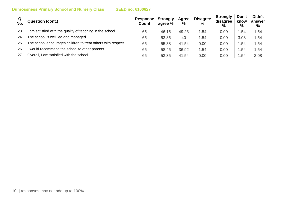| Q<br>No. | <b>Question (cont.)</b>                                      | Response<br><b>Count</b> | <b>Strongly</b><br>agree % | Agree<br>$\%$ | <b>Disagree</b><br>$\%$ | <b>Strongly</b><br>disagree<br>$\frac{9}{6}$ | Don't<br>know<br>% | Didn't<br>answer<br>% |
|----------|--------------------------------------------------------------|--------------------------|----------------------------|---------------|-------------------------|----------------------------------------------|--------------------|-----------------------|
| 23       | am satisfied with the quality of teaching in the school.     | 65                       | 46.15                      | 49.23         | 1.54                    | 0.00                                         | .54                | 1.54                  |
| 24       | The school is well led and managed.                          | 65                       | 53.85                      | 40            | 1.54                    | 0.00                                         | 3.08               | 1.54                  |
| 25       | The school encourages children to treat others with respect. | 65                       | 55.38                      | 41.54         | 0.00                    | 0.00                                         | .54                | 1.54                  |
| 26       | would recommend the school to other parents.                 | 65                       | 58.46                      | 36.92         | 1.54                    | 0.00                                         | .54                | 1.54                  |
| 27       | Overall, I am satisfied with the school.                     | 65                       | 53.85                      | 41.54         | 0.00                    | 0.00                                         | .54                | 3.08                  |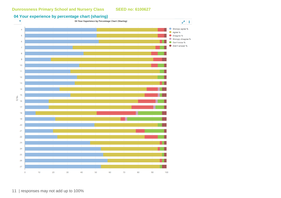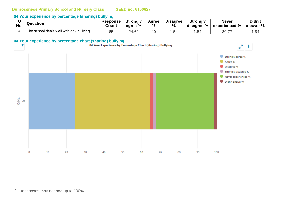#### **04 Your experience by percentage (sharing) bullying**

| No. | Question                                 | <b>Response</b><br><b>Count</b> | <b>Strongly</b><br>agree % | Agree<br>$\%$ | <b>Disagree</b><br>% | <b>Strongly</b><br>disagree % | <b>Never</b><br>$^{\circ}$ experienced % | Didn't<br>answer $\%$ $\parallel$ |
|-----|------------------------------------------|---------------------------------|----------------------------|---------------|----------------------|-------------------------------|------------------------------------------|-----------------------------------|
| 28  | The school deals well with any bullying. | 65                              | .62<br>24                  | 40            | .54                  | ⊿ن.                           | 30.77                                    | .54                               |

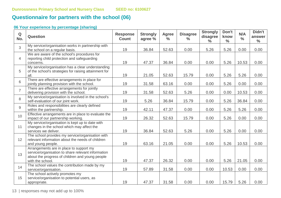# **Questionnaire for partners with the school (06)**

### **06 Your experience by percentage (sharing)**

| Q<br>No.       | <b>Question</b>                                                                                                                                                      | <b>Response</b><br><b>Count</b> | <b>Strongly</b><br>agree % | <b>Agree</b><br>$\frac{0}{0}$ | <b>Disagree</b><br>$\frac{6}{6}$ | <b>Strongly</b><br>disagree<br>$\frac{0}{0}$ | Don't<br>know<br>$\frac{6}{6}$ | N/A<br>$\frac{0}{0}$ | Didn't<br>answer<br>$\frac{0}{0}$ |
|----------------|----------------------------------------------------------------------------------------------------------------------------------------------------------------------|---------------------------------|----------------------------|-------------------------------|----------------------------------|----------------------------------------------|--------------------------------|----------------------|-----------------------------------|
| 3              | My service/organisation works in partnership with<br>the school on a regular basis.                                                                                  | 19                              | 36.84                      | 52.63                         | 0.00                             | 5.26                                         | 5.26                           | 0.00                 | 0.00                              |
| $\overline{4}$ | We are aware of the school's procedures for<br>reporting child protection and safeguarding<br>concerns.                                                              | 19                              | 47.37                      | 36.84                         | 0.00                             | 0.00                                         | 5.26                           | 10.53                | 0.00                              |
| 5              | My service/organisation has a clear understanding<br>of the school's strategies for raising attainment for<br>all.                                                   | 19                              | 21.05                      | 52.63                         | 15.79                            | 0.00                                         | 5.26                           | 5.26                 | 0.00                              |
| 6              | There are effective arrangements in place for<br>jointly planning provision with the school.                                                                         | 19                              | 31.58                      | 63.16                         | 0.00                             | 0.00                                         | 5.26                           | 0.00                 | 0.00                              |
| $\overline{7}$ | There are effective arrangements for jointly<br>delivering provision with the school.                                                                                | 19                              | 31.58                      | 52.63                         | 5.26                             | 0.00                                         | 0.00                           | 10.53                | 0.00                              |
| 8              | My service/organisation is involved in the school's<br>self-evaluation of our joint work.                                                                            | 19                              | 5.26                       | 36.84                         | 15.79                            | 0.00                                         | 5.26                           | 36.84                | 0.00                              |
| 9              | Roles and responsibilities are clearly defined<br>within the partnership.                                                                                            | 19                              | 42.11                      | 47.37                         | 0.00                             | 0.00                                         | 5.26                           | 5.26                 | 0.00                              |
| 10             | Effective arrangements are in place to evaluate the<br>impact of our partnership working.                                                                            | 19                              | 26.32                      | 52.63                         | 15.79                            | 0.00                                         | 5.26                           | 0.00                 | 0.00                              |
| 11             | My service/organisation is kept up to date with<br>changes in the school which may affect the<br>services we deliver.                                                | 19                              | 36.84                      | 52.63                         | 5.26                             | 0.00                                         | 5.26                           | 0.00                 | 0.00                              |
| 12             | The school provides my service/organisation with<br>relevant information about the needs of children<br>and young people.                                            | 19                              | 63.16                      | 21.05                         | 0.00                             | 0.00                                         | 5.26                           | 10.53                | 0.00                              |
| 13             | Arrangements are in place to support my<br>service/organisation to share relevant information<br>about the progress of children and young people<br>with the school. | 19                              | 47.37                      | 26.32                         | 0.00                             | 0.00                                         | 5.26                           | 21.05                | 0.00                              |
| 14             | The school values the contribution made by my<br>service/organisation.                                                                                               | 19                              | 57.89                      | 31.58                         | 0.00                             | 0.00                                         | 10.53                          | 0.00                 | 0.00                              |
| 15             | The school actively promotes my<br>service/organisation to potential users, as<br>appropriate.                                                                       | 19                              | 47.37                      | 31.58                         | 0.00                             | 0.00                                         | 15.79                          | 5.26                 | 0.00                              |

13 | responses may not add up to 100%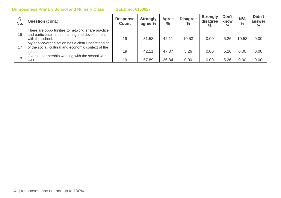| Q<br>No. | <b>Question (cont.)</b>                                                                                                     | <b>Response</b><br><b>Count</b> | <b>Strongly</b><br>agree % | Agree<br>$\frac{0}{0}$ | <b>Disagree</b><br>$\frac{6}{6}$ | <b>Strongly</b><br>disagree<br>$\%$ | Don't<br>know<br>$\%$ | N/A<br>$\frac{0}{0}$ | Didn't<br>answer<br>$\%$ |
|----------|-----------------------------------------------------------------------------------------------------------------------------|---------------------------------|----------------------------|------------------------|----------------------------------|-------------------------------------|-----------------------|----------------------|--------------------------|
| 16       | There are opportunities to network, share practice<br>and participate in joint training and development<br>with the school. | 19                              | 31.58                      | 42.11                  | 10.53                            | 0.00                                | 5.26                  | 10.53                | 0.00                     |
| 17       | My service/organisation has a clear understanding<br>of the social, cultural and economic context of the<br>school.         | 19                              | 42.11                      | 47.37                  | 5.26                             | 0.00                                | 5.26                  | 0.00                 | 0.00                     |
| 18       | Overall, partnership working with the school works<br>well.                                                                 | 19                              | 57.89                      | 36.84                  | 0.00                             | 0.00                                | 5.26                  | 0.00                 | 0.00                     |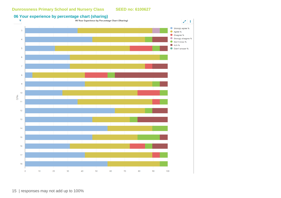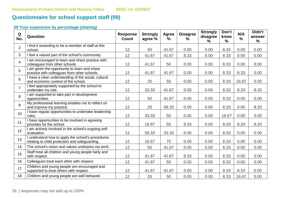# **Questionnaire for school support staff (09)**

| Q<br>No.        | Question                                                                                            | <b>Response</b><br><b>Count</b> | <b>Strongly</b><br>agree % | Agree<br>$\%$ | <b>Disagree</b><br>% | <b>Strongly</b><br>disagree<br>$\frac{9}{6}$ | Don't<br>know<br>$\frac{9}{6}$ | N/A<br>$\%$ | Didn't<br>answer<br>$\frac{9}{6}$ |
|-----------------|-----------------------------------------------------------------------------------------------------|---------------------------------|----------------------------|---------------|----------------------|----------------------------------------------|--------------------------------|-------------|-----------------------------------|
| $\overline{2}$  | I find it rewarding to be a member of staff at this<br>school.                                      | 12                              | 50                         | 41.67         | 0.00                 | 0.00                                         | 8.33                           | 0.00        | 0.00                              |
| $\mathbf{3}$    | I feel a valued part of the school's community.                                                     | 12                              | 41.67                      | 41.67         | 8.33                 | 0.00                                         | 8.33                           | 0.00        | 0.00                              |
| $\overline{4}$  | am encouraged to learn and share practice with<br>colleagues from other schools.                    | 12                              | 41.67                      | 50            | 0.00                 | 0.00                                         | 8.33                           | 0.00        | 0.00                              |
| 5               | I am given the opportunity to learn and share<br>practice with colleagues from other schools.       | 12                              | 41.67                      | 41.67         | 0.00                 | 0.00                                         | 8.33                           | 8.33        | 0.00                              |
| 6               | I have a clear understanding of the social, cultural<br>and economic context of the school.         | 12                              | 25                         | 50            | 0.00                 | 0.00                                         | 8.33                           | 16.67       | 0.00                              |
| $\overline{7}$  | I feel appropriately supported by the school to<br>undertake my role.                               | 12                              | 33.33                      | 41.67         | 0.00                 | 0.00                                         | 8.33                           | 8.33        | 8.33                              |
| 8               | I am supported to take part in development<br>opportunities.                                        | 12                              | 50                         | 41.67         | 0.00                 | 0.00                                         | 8.33                           | 0.00        | 0.00                              |
| 9               | My professional learning enables me to reflect on<br>and improve my practice.                       | 12                              | 25                         | 58.33         | 0.00                 | 0.00                                         | 8.33                           | 0.00        | 8.33                              |
| 10 <sup>°</sup> | I have regular opportunities to undertake leadership<br>roles.                                      | 12                              | 33.33                      | 50            | 0.00                 | 0.00                                         | 16.67                          | 0.00        | 0.00                              |
| 11              | I have opportunities to be involved in agreeing<br>priorities for the school.                       | 12                              | 16.67                      | 50            | 8.33                 | 0.00                                         | 8.33                           | 8.33        | 8.33                              |
| 12              | I am actively involved in the school's ongoing self-<br>evaluation.                                 | 12                              | 58.33                      | 33.33         | 0.00                 | 0.00                                         | 8.33                           | 0.00        | 0.00                              |
| 13              | I understand how to apply the school's procedures<br>relating to child protection and safeguarding. | 12                              | 16.67                      | 75            | 0.00                 | 0.00                                         | 8.33                           | 0.00        | 0.00                              |
| 14              | The school's vision and values underpins my work.                                                   | 12                              | 50                         | 41.67         | 0.00                 | 0.00                                         | 8.33                           | 0.00        | 0.00                              |
| 15              | Staff treat all children and young people fairly and<br>with respect.                               | 12                              | 41.67                      | 41.67         | 8.33                 | 0.00                                         | 8.33                           | 0.00        | 0.00                              |
| 16              | Colleagues treat each other with respect.                                                           | 12                              | 41.67                      | 50            | 0.00                 | 0.00                                         | 8.33                           | 0.00        | 0.00                              |
| 17              | Children and young people are encouraged and<br>supported to treat others with respect.             | 12                              | 41.67                      | 41.67         | 0.00                 | 0.00                                         | 8.33                           | 8.33        | 0.00                              |
| 18              | Children and young people are well behaved.                                                         | 12                              | 25                         | 50            | 0.00                 | 0.00                                         | 8.33                           | 16.67       | 0.00                              |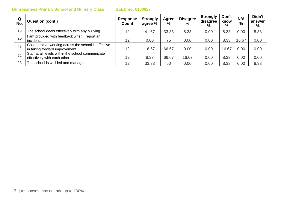| Q<br>No. | <b>Question (cont.)</b>                                                                | <b>Response</b><br>Count | <b>Strongly</b><br>agree % | Agree<br>$\frac{0}{0}$ | <b>Disagree</b><br>% | <b>Strongly</b><br>disagree<br>% | Don't<br>know<br>% | N/A<br>$\frac{9}{6}$ | Didn't<br>answer<br>% |
|----------|----------------------------------------------------------------------------------------|--------------------------|----------------------------|------------------------|----------------------|----------------------------------|--------------------|----------------------|-----------------------|
| 19       | The school deals effectively with any bullying.                                        | 12                       | 41.67                      | 33.33                  | 8.33                 | 0.00                             | 8.33               | 0.00                 | 8.33                  |
| 20       | am provided with feedback when I report an<br>incident.                                | 12                       | 0.00                       | 75                     | 0.00                 | 0.00                             | 8.33               | 16.67                | 0.00                  |
| 21       | Collaborative working across the school is effective<br>in taking forward improvement. | 12                       | 16.67                      | 66.67                  | 0.00                 | 0.00                             | 16.67              | 0.00                 | 0.00                  |
| 22       | Staff at all levels within the school communicate<br>effectively with each other.      | 12                       | 8.33                       | 66.67                  | 16.67                | 0.00                             | 8.33               | 0.00                 | 0.00                  |
| 23       | The school is well led and managed.                                                    | 12                       | 33.33                      | 50                     | 0.00                 | 0.00                             | 8.33               | 0.00                 | 8.33                  |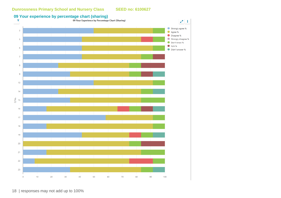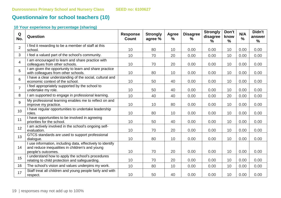# **Questionnaire for school teachers (10)**

| Q<br>No.        | Question                                                                                                                            | <b>Response</b><br><b>Count</b> | <b>Strongly</b><br>agree % | Agree<br>$\%$ | <b>Disagree</b><br>$\%$ | <b>Strongly</b><br>disagree<br>% | Don't<br>know<br>$\frac{9}{6}$ | N/A<br>$\frac{9}{6}$ | Didn't<br>answer<br>$\frac{9}{6}$ |
|-----------------|-------------------------------------------------------------------------------------------------------------------------------------|---------------------------------|----------------------------|---------------|-------------------------|----------------------------------|--------------------------------|----------------------|-----------------------------------|
| $\overline{2}$  | I find it rewarding to be a member of staff at this<br>school.                                                                      | 10                              | 80                         | 10            | 0.00                    | 0.00                             | 10                             | 0.00                 | 0.00                              |
| 3               | I feel a valued part of the school's community.                                                                                     | 10                              | 70                         | 20            | 0.00                    | 0.00                             | 10                             | 0.00                 | 0.00                              |
| $\overline{4}$  | am encouraged to learn and share practice with<br>colleagues from other schools.                                                    | 10                              | 70                         | 20            | 0.00                    | 0.00                             | 10                             | 0.00                 | 0.00                              |
| 5               | am given the opportunity to learn and share practice<br>with colleagues from other schools.                                         | 10                              | 80                         | 10            | 0.00                    | 0.00                             | 10                             | 0.00                 | 0.00                              |
| 6               | I have a clear understanding of the social, cultural and<br>economic context of the school.                                         | 10                              | 50                         | 40            | 0.00                    | 0.00                             | 10                             | 0.00                 | 0.00                              |
| $\overline{7}$  | I feel appropriately supported by the school to<br>undertake my role.                                                               | 10                              | 50                         | 40            | 0.00                    | 0.00                             | 10                             | 0.00                 | 0.00                              |
| 8               | I am supported to engage in professional learning.                                                                                  | 10                              | 40                         | 40            | 0.00                    | 0.00                             | 20                             | 0.00                 | 0.00                              |
| 9               | My professional learning enables me to reflect on and<br>improve my practice.                                                       | 10                              | 10                         | 80            | 0.00                    | 0.00                             | 10                             | 0.00                 | 0.00                              |
| 10 <sup>1</sup> | I have regular opportunities to undertake leadership<br>roles.                                                                      | 10                              | 80                         | 10            | 0.00                    | 0.00                             | 10                             | 0.00                 | 0.00                              |
| 11              | I have opportunities to be involved in agreeing<br>priorities for the school.                                                       | 10                              | 50                         | 40            | 0.00                    | 0.00                             | 10                             | 0.00                 | 0.00                              |
| 12              | I am actively involved in the school's ongoing self-<br>evaluation.                                                                 | 10                              | 70                         | 20            | 0.00                    | 0.00                             | 10                             | 0.00                 | 0.00                              |
| 13              | GTCS standards are used to support professional<br>dialogue.                                                                        | 10                              | 80                         | 10            | 0.00                    | 0.00                             | 10                             | 0.00                 | 0.00                              |
| 14              | I use information, including data, effectively to identify<br>and reduce inequalities in children's and young<br>people's outcomes. | 10                              | 70                         | 20            | 0.00                    | 0.00                             | 10                             | 0.00                 | 0.00                              |
| 15              | I understand how to apply the school's procedures<br>relating to child protection and safeguarding.                                 | 10                              | 70                         | 20            | 0.00                    | 0.00                             | 10                             | 0.00                 | 0.00                              |
| 16              | The school's vision and values underpins my work.                                                                                   | 10                              | 80                         | 10            | 0.00                    | 0.00                             | 10                             | 0.00                 | 0.00                              |
| 17              | Staff treat all children and young people fairly and with<br>respect.                                                               | 10                              | 50                         | 40            | 0.00                    | 0.00                             | 10                             | 0.00                 | 0.00                              |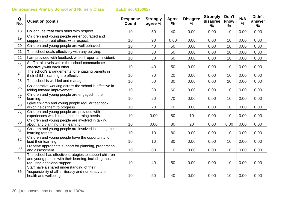| Q<br>No. | <b>Question (cont.)</b>                                                                                                                           | <b>Response</b><br><b>Count</b> | <b>Strongly</b><br>agree % | <b>Agree</b><br>$\frac{9}{6}$ | <b>Disagree</b><br>$\%$ | <b>Strongly</b><br>disagree<br>% | Don't<br>know<br>$\frac{0}{0}$ | N/A<br>% | Didn't<br>answer<br>$\frac{9}{6}$ |
|----------|---------------------------------------------------------------------------------------------------------------------------------------------------|---------------------------------|----------------------------|-------------------------------|-------------------------|----------------------------------|--------------------------------|----------|-----------------------------------|
| 18       | Colleagues treat each other with respect.                                                                                                         | 10                              | 50                         | 40                            | 0.00                    | 0.00                             | 10                             | 0.00     | 0.00                              |
| 19       | Children and young people are encouraged and<br>supported to treat others with respect.                                                           | 10                              | 90                         | 0.00                          | 0.00                    | 0.00                             | 10                             | 0.00     | 0.00                              |
| 20       | Children and young people are well behaved.                                                                                                       | 10                              | 40                         | 50                            | 0.00                    | 0.00                             | 10                             | 0.00     | 0.00                              |
| 21       | The school deals effectively with any bullying.                                                                                                   | 10                              | 30                         | 50                            | 0.00                    | 0.00                             | 20                             | 0.00     | 0.00                              |
| 22       | I am provided with feedback when I report an incident.                                                                                            | 10                              | 30                         | 60                            | 0.00                    | 0.00                             | 10                             | 0.00     | 0.00                              |
| 23       | Staff at all levels within the school communicate<br>effectively with each other.                                                                 | 10                              | 40                         | 50                            | 0.00                    | 0.00                             | 10                             | 0.00     | 0.00                              |
| 24       | The school's arrangements for engaging parents in<br>their child's learning are effective.                                                        | 10                              | 70                         | 20                            | 0.00                    | 0.00                             | 10                             | 0.00     | 0.00                              |
| 25       | The school is well led and managed.                                                                                                               | 10                              | 50                         | 30                            | 0.00                    | 0.00                             | 20                             | 0.00     | 0.00                              |
| 26       | Collaborative working across the school is effective in<br>taking forward improvement.                                                            | 10                              | 30                         | 60                            | 0.00                    | 0.00                             | 10                             | 0.00     | 0.00                              |
| 27       | Children and young people are engaged in their<br>learning.                                                                                       | 10                              | 20                         | 70                            | 0.00                    | 0.00                             | 10                             | 0.00     | 0.00                              |
| 28       | give children and young people regular feedback<br>which helps them to progress.                                                                  | 10                              | 20                         | 70                            | 0.00                    | 0.00                             | 10                             | 0.00     | 0.00                              |
| 29       | Children and young people are provided with<br>experiences which meet their learning needs.                                                       | 10                              | 0.00                       | 80                            | 10                      | 0.00                             | 10                             | 0.00     | 0.00                              |
| 30       | Children and young people are involved in talking<br>about and planning their learning.                                                           | 10                              | 0.00                       | 80                            | 20                      | 0.00                             | 0.00                           | 0.00     | 0.00                              |
| 31       | Children and young people are involved in setting their<br>learning targets.                                                                      | 10                              | 10                         | 80                            | 0.00                    | 0.00                             | 10                             | 0.00     | 0.00                              |
| 32       | Children and young people have the opportunity to<br>lead their learning.                                                                         | 10                              | 10                         | 80                            | 0.00                    | 0.00                             | 10                             | 0.00     | 0.00                              |
| 33       | I receive appropriate support for planning, preparation<br>and assessment.                                                                        | 10                              | 80                         | 10                            | 0.00                    | 0.00                             | 10                             | 0.00     | 0.00                              |
| 34       | The school has effective strategies to support children<br>and young people with their learning, including those<br>requiring additional support. | 10                              | 40                         | 50                            | 0.00                    | 0.00                             | 10                             | 0.00     | 0.00                              |
| 35       | Staff have a shared understanding of their<br>'responsibility of all' in literacy and numeracy and<br>health and wellbeing.                       | 10                              | 50                         | 40                            | 0.00                    | 0.00                             | 10                             | 0.00     | 0.00                              |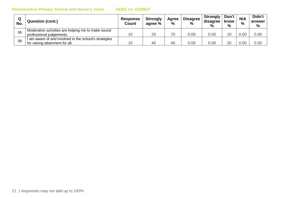| Q<br>No. | Question (cont.)                                      | Response<br>Count | <b>Strongly</b><br>agree % | Agree<br>$\frac{0}{0}$ | <b>Disagree</b><br>$\frac{9}{6}$ | <b>Strongly</b><br>disagree<br>% | Don't」<br>know<br>% | N/A<br>% | Didn't<br>answer<br>% |
|----------|-------------------------------------------------------|-------------------|----------------------------|------------------------|----------------------------------|----------------------------------|---------------------|----------|-----------------------|
| 36       | Moderation activities are helping me to make sound    |                   |                            | 7 <sup>c</sup>         |                                  |                                  |                     |          |                       |
|          | professional judgements.                              | 10                | 20                         |                        | 0.00                             | 0.00                             | 10                  | 0.00     | 0.00                  |
| 38       | I am aware of and involved in the school's strategies |                   |                            |                        |                                  |                                  |                     |          |                       |
|          | for raising attainment for all.                       | 10                | 40                         | 40                     | 0.00                             | 0.00                             | 20                  | 0.00     | 0.00                  |